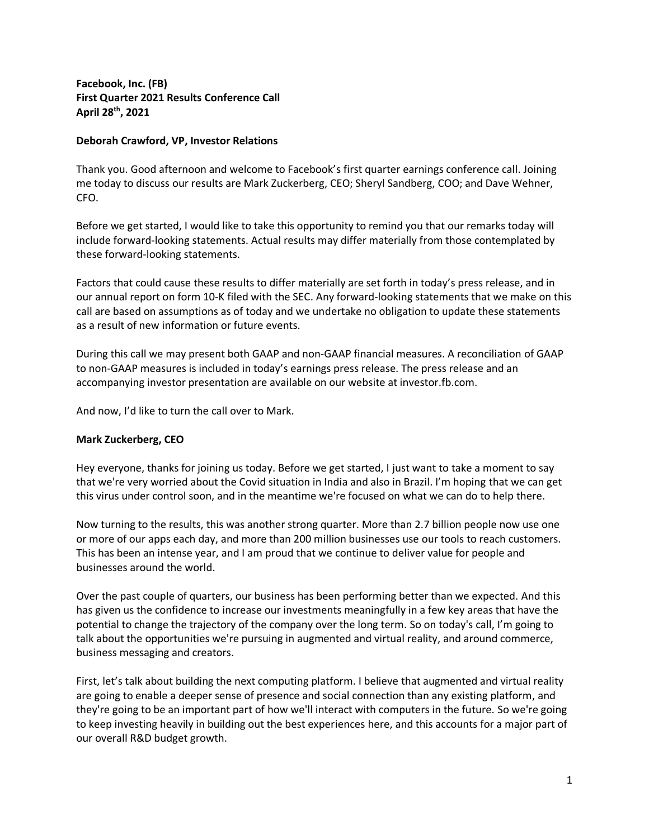**Facebook, Inc. (FB) First Quarter 2021 Results Conference Call April 28th, 2021**

## **Deborah Crawford, VP, Investor Relations**

Thank you. Good afternoon and welcome to Facebook's first quarter earnings conference call. Joining me today to discuss our results are Mark Zuckerberg, CEO; Sheryl Sandberg, COO; and Dave Wehner, CFO.

Before we get started, I would like to take this opportunity to remind you that our remarks today will include forward‐looking statements. Actual results may differ materially from those contemplated by these forward‐looking statements.

Factors that could cause these results to differ materially are set forth in today's press release, and in our annual report on form 10-K filed with the SEC. Any forward-looking statements that we make on this call are based on assumptions as of today and we undertake no obligation to update these statements as a result of new information or future events.

During this call we may present both GAAP and non‐GAAP financial measures. A reconciliation of GAAP to non‐GAAP measures is included in today's earnings press release. The press release and an accompanying investor presentation are available on our website at investor.fb.com.

And now, I'd like to turn the call over to Mark.

## **Mark Zuckerberg, CEO**

Hey everyone, thanks for joining us today. Before we get started, I just want to take a moment to say that we're very worried about the Covid situation in India and also in Brazil. I'm hoping that we can get this virus under control soon, and in the meantime we're focused on what we can do to help there.

Now turning to the results, this was another strong quarter. More than 2.7 billion people now use one or more of our apps each day, and more than 200 million businesses use our tools to reach customers. This has been an intense year, and I am proud that we continue to deliver value for people and businesses around the world.

Over the past couple of quarters, our business has been performing better than we expected. And this has given us the confidence to increase our investments meaningfully in a few key areas that have the potential to change the trajectory of the company over the long term. So on today's call, I'm going to talk about the opportunities we're pursuing in augmented and virtual reality, and around commerce, business messaging and creators.

First, let's talk about building the next computing platform. I believe that augmented and virtual reality are going to enable a deeper sense of presence and social connection than any existing platform, and they're going to be an important part of how we'll interact with computers in the future. So we're going to keep investing heavily in building out the best experiences here, and this accounts for a major part of our overall R&D budget growth.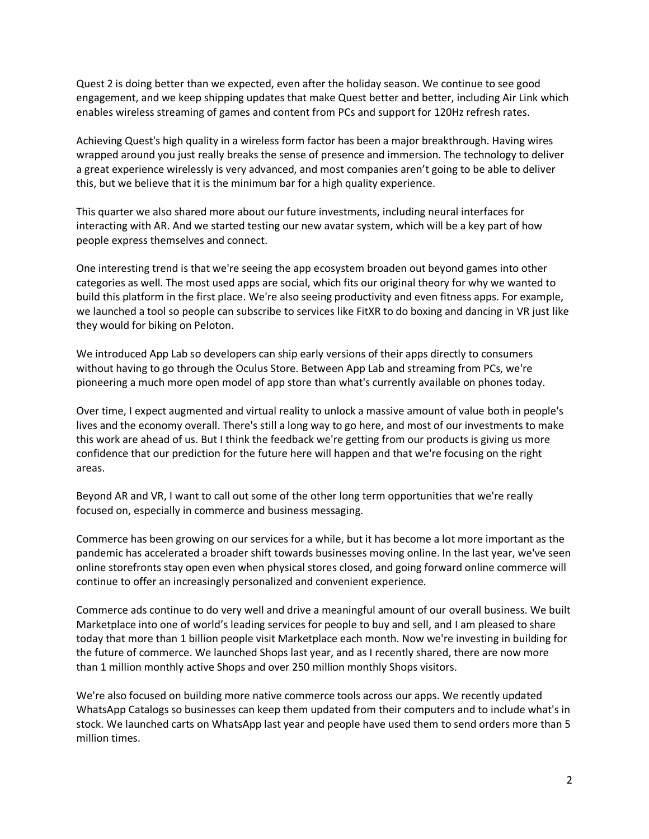Quest 2 is doing better than we expected, even after the holiday season. We continue to see good engagement, and we keep shipping updates that make Quest better and better, including Air Link which enables wireless streaming of games and content from PCs and support for 120Hz refresh rates.

Achieving Quest's high quality in a wireless form factor has been a major breakthrough. Having wires wrapped around you just really breaks the sense of presence and immersion. The technology to deliver a great experience wirelessly is very advanced, and most companies aren't going to be able to deliver this, but we believe that it is the minimum bar for a high quality experience.

This quarter we also shared more about our future investments, including neural interfaces for interacting with AR. And we started testing our new avatar system, which will be a key part of how people express themselves and connect.

One interesting trend is that we're seeing the app ecosystem broaden out beyond games into other categories as well. The most used apps are social, which fits our original theory for why we wanted to build this platform in the first place. We're also seeing productivity and even fitness apps. For example, we launched a tool so people can subscribe to services like FitXR to do boxing and dancing in VR just like they would for biking on Peloton.

We introduced App Lab so developers can ship early versions of their apps directly to consumers without having to go through the Oculus Store. Between App Lab and streaming from PCs, we're pioneering a much more open model of app store than what's currently available on phones today.

Over time, I expect augmented and virtual reality to unlock a massive amount of value both in people's lives and the economy overall. There's still a long way to go here, and most of our investments to make this work are ahead of us. But I think the feedback we're getting from our products is giving us more confidence that our prediction for the future here will happen and that we're focusing on the right areas.

Beyond AR and VR, I want to call out some of the other long term opportunities that we're really focused on, especially in commerce and business messaging.

Commerce has been growing on our services for a while, but it has become a lot more important as the pandemic has accelerated a broader shift towards businesses moving online. In the last year, we've seen online storefronts stay open even when physical stores closed, and going forward online commerce will continue to offer an increasingly personalized and convenient experience.

Commerce ads continue to do very well and drive a meaningful amount of our overall business. We built Marketplace into one of world's leading services for people to buy and sell, and I am pleased to share today that more than 1 billion people visit Marketplace each month. Now we're investing in building for the future of commerce. We launched Shops last year, and as I recently shared, there are now more than 1 million monthly active Shops and over 250 million monthly Shops visitors.

We're also focused on building more native commerce tools across our apps. We recently updated WhatsApp Catalogs so businesses can keep them updated from their computers and to include what's in stock. We launched carts on WhatsApp last year and people have used them to send orders more than 5 million times.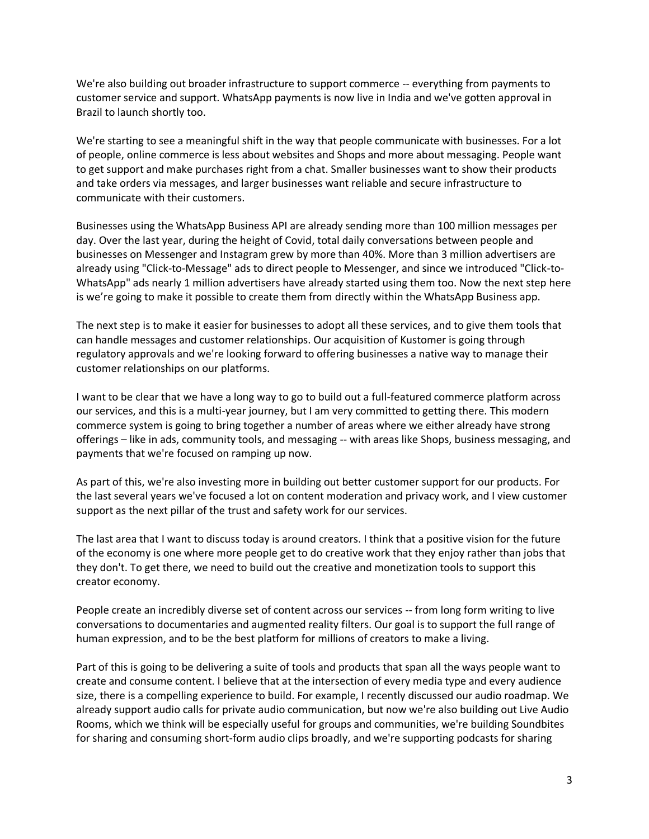We're also building out broader infrastructure to support commerce -- everything from payments to customer service and support. WhatsApp payments is now live in India and we've gotten approval in Brazil to launch shortly too.

We're starting to see a meaningful shift in the way that people communicate with businesses. For a lot of people, online commerce is less about websites and Shops and more about messaging. People want to get support and make purchases right from a chat. Smaller businesses want to show their products and take orders via messages, and larger businesses want reliable and secure infrastructure to communicate with their customers.

Businesses using the WhatsApp Business API are already sending more than 100 million messages per day. Over the last year, during the height of Covid, total daily conversations between people and businesses on Messenger and Instagram grew by more than 40%. More than 3 million advertisers are already using "Click-to-Message" ads to direct people to Messenger, and since we introduced "Click-to-WhatsApp" ads nearly 1 million advertisers have already started using them too. Now the next step here is we're going to make it possible to create them from directly within the WhatsApp Business app.

The next step is to make it easier for businesses to adopt all these services, and to give them tools that can handle messages and customer relationships. Our acquisition of Kustomer is going through regulatory approvals and we're looking forward to offering businesses a native way to manage their customer relationships on our platforms.

I want to be clear that we have a long way to go to build out a full-featured commerce platform across our services, and this is a multi-year journey, but I am very committed to getting there. This modern commerce system is going to bring together a number of areas where we either already have strong offerings – like in ads, community tools, and messaging -- with areas like Shops, business messaging, and payments that we're focused on ramping up now.

As part of this, we're also investing more in building out better customer support for our products. For the last several years we've focused a lot on content moderation and privacy work, and I view customer support as the next pillar of the trust and safety work for our services.

The last area that I want to discuss today is around creators. I think that a positive vision for the future of the economy is one where more people get to do creative work that they enjoy rather than jobs that they don't. To get there, we need to build out the creative and monetization tools to support this creator economy.

People create an incredibly diverse set of content across our services -- from long form writing to live conversations to documentaries and augmented reality filters. Our goal is to support the full range of human expression, and to be the best platform for millions of creators to make a living.

Part of this is going to be delivering a suite of tools and products that span all the ways people want to create and consume content. I believe that at the intersection of every media type and every audience size, there is a compelling experience to build. For example, I recently discussed our audio roadmap. We already support audio calls for private audio communication, but now we're also building out Live Audio Rooms, which we think will be especially useful for groups and communities, we're building Soundbites for sharing and consuming short-form audio clips broadly, and we're supporting podcasts for sharing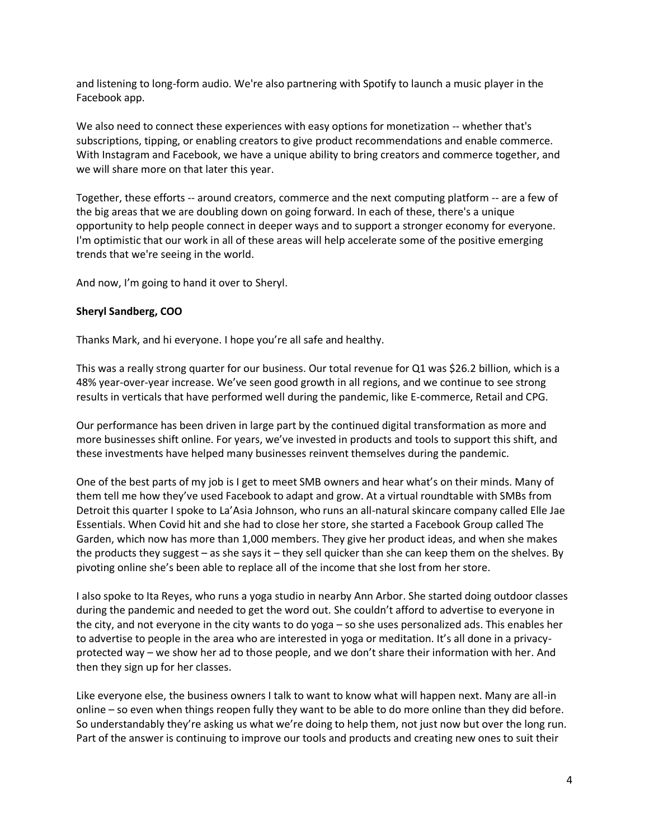and listening to long-form audio. We're also partnering with Spotify to launch a music player in the Facebook app.

We also need to connect these experiences with easy options for monetization -- whether that's subscriptions, tipping, or enabling creators to give product recommendations and enable commerce. With Instagram and Facebook, we have a unique ability to bring creators and commerce together, and we will share more on that later this year.

Together, these efforts -- around creators, commerce and the next computing platform -- are a few of the big areas that we are doubling down on going forward. In each of these, there's a unique opportunity to help people connect in deeper ways and to support a stronger economy for everyone. I'm optimistic that our work in all of these areas will help accelerate some of the positive emerging trends that we're seeing in the world.

And now, I'm going to hand it over to Sheryl.

## **Sheryl Sandberg, COO**

Thanks Mark, and hi everyone. I hope you're all safe and healthy.

This was a really strong quarter for our business. Our total revenue for Q1 was \$26.2 billion, which is a 48% year-over-year increase. We've seen good growth in all regions, and we continue to see strong results in verticals that have performed well during the pandemic, like E-commerce, Retail and CPG.

Our performance has been driven in large part by the continued digital transformation as more and more businesses shift online. For years, we've invested in products and tools to support this shift, and these investments have helped many businesses reinvent themselves during the pandemic.

One of the best parts of my job is I get to meet SMB owners and hear what's on their minds. Many of them tell me how they've used Facebook to adapt and grow. At a virtual roundtable with SMBs from Detroit this quarter I spoke to La'Asia Johnson, who runs an all-natural skincare company called Elle Jae Essentials. When Covid hit and she had to close her store, she started a Facebook Group called The Garden, which now has more than 1,000 members. They give her product ideas, and when she makes the products they suggest – as she says it – they sell quicker than she can keep them on the shelves. By pivoting online she's been able to replace all of the income that she lost from her store.

I also spoke to Ita Reyes, who runs a yoga studio in nearby Ann Arbor. She started doing outdoor classes during the pandemic and needed to get the word out. She couldn't afford to advertise to everyone in the city, and not everyone in the city wants to do yoga – so she uses personalized ads. This enables her to advertise to people in the area who are interested in yoga or meditation. It's all done in a privacyprotected way – we show her ad to those people, and we don't share their information with her. And then they sign up for her classes.

Like everyone else, the business owners I talk to want to know what will happen next. Many are all-in online – so even when things reopen fully they want to be able to do more online than they did before. So understandably they're asking us what we're doing to help them, not just now but over the long run. Part of the answer is continuing to improve our tools and products and creating new ones to suit their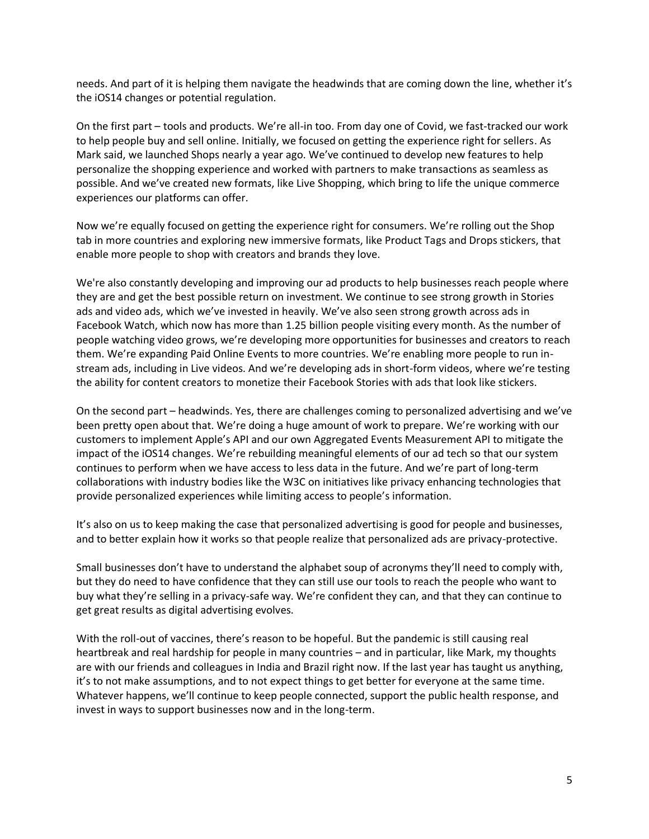needs. And part of it is helping them navigate the headwinds that are coming down the line, whether it's the iOS14 changes or potential regulation.

On the first part – tools and products. We're all-in too. From day one of Covid, we fast-tracked our work to help people buy and sell online. Initially, we focused on getting the experience right for sellers. As Mark said, we launched Shops nearly a year ago. We've continued to develop new features to help personalize the shopping experience and worked with partners to make transactions as seamless as possible. And we've created new formats, like Live Shopping, which bring to life the unique commerce experiences our platforms can offer.

Now we're equally focused on getting the experience right for consumers. We're rolling out the Shop tab in more countries and exploring new immersive formats, like Product Tags and Drops stickers, that enable more people to shop with creators and brands they love.

We're also constantly developing and improving our ad products to help businesses reach people where they are and get the best possible return on investment. We continue to see strong growth in Stories ads and video ads, which we've invested in heavily. We've also seen strong growth across ads in Facebook Watch, which now has more than 1.25 billion people visiting every month. As the number of people watching video grows, we're developing more opportunities for businesses and creators to reach them. We're expanding Paid Online Events to more countries. We're enabling more people to run instream ads, including in Live videos. And we're developing ads in short-form videos, where we're testing the ability for content creators to monetize their Facebook Stories with ads that look like stickers.

On the second part – headwinds. Yes, there are challenges coming to personalized advertising and we've been pretty open about that. We're doing a huge amount of work to prepare. We're working with our customers to implement Apple's API and our own Aggregated Events Measurement API to mitigate the impact of the iOS14 changes. We're rebuilding meaningful elements of our ad tech so that our system continues to perform when we have access to less data in the future. And we're part of long-term collaborations with industry bodies like the W3C on initiatives like privacy enhancing technologies that provide personalized experiences while limiting access to people's information.

It's also on us to keep making the case that personalized advertising is good for people and businesses, and to better explain how it works so that people realize that personalized ads are privacy-protective.

Small businesses don't have to understand the alphabet soup of acronyms they'll need to comply with, but they do need to have confidence that they can still use our tools to reach the people who want to buy what they're selling in a privacy-safe way. We're confident they can, and that they can continue to get great results as digital advertising evolves.

With the roll-out of vaccines, there's reason to be hopeful. But the pandemic is still causing real heartbreak and real hardship for people in many countries – and in particular, like Mark, my thoughts are with our friends and colleagues in India and Brazil right now. If the last year has taught us anything, it's to not make assumptions, and to not expect things to get better for everyone at the same time. Whatever happens, we'll continue to keep people connected, support the public health response, and invest in ways to support businesses now and in the long-term.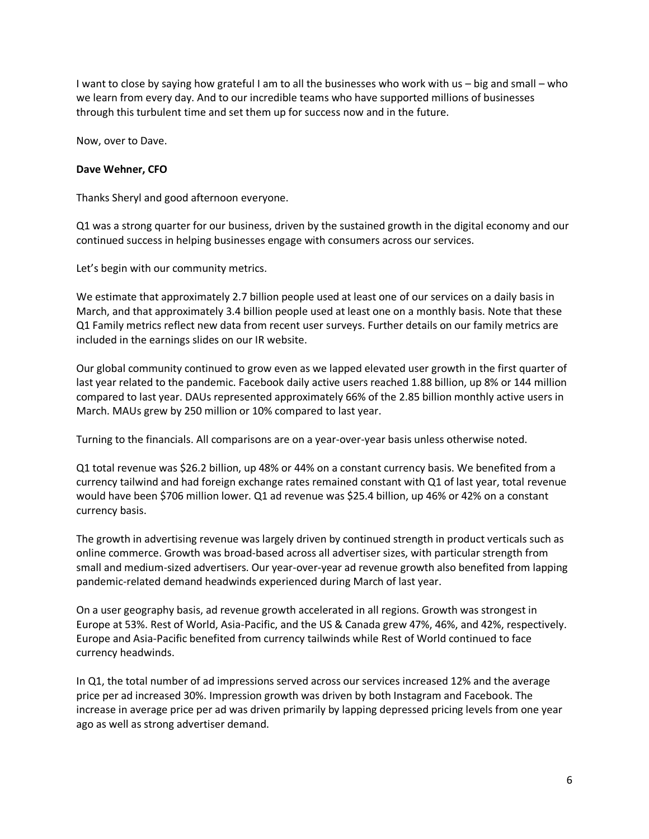I want to close by saying how grateful I am to all the businesses who work with us – big and small – who we learn from every day. And to our incredible teams who have supported millions of businesses through this turbulent time and set them up for success now and in the future.

Now, over to Dave.

## **Dave Wehner, CFO**

Thanks Sheryl and good afternoon everyone.

Q1 was a strong quarter for our business, driven by the sustained growth in the digital economy and our continued success in helping businesses engage with consumers across our services.

Let's begin with our community metrics.

We estimate that approximately 2.7 billion people used at least one of our services on a daily basis in March, and that approximately 3.4 billion people used at least one on a monthly basis. Note that these Q1 Family metrics reflect new data from recent user surveys. Further details on our family metrics are included in the earnings slides on our IR website.

Our global community continued to grow even as we lapped elevated user growth in the first quarter of last year related to the pandemic. Facebook daily active users reached 1.88 billion, up 8% or 144 million compared to last year. DAUs represented approximately 66% of the 2.85 billion monthly active users in March. MAUs grew by 250 million or 10% compared to last year.

Turning to the financials. All comparisons are on a year-over-year basis unless otherwise noted.

Q1 total revenue was \$26.2 billion, up 48% or 44% on a constant currency basis. We benefited from a currency tailwind and had foreign exchange rates remained constant with Q1 of last year, total revenue would have been \$706 million lower. Q1 ad revenue was \$25.4 billion, up 46% or 42% on a constant currency basis.

The growth in advertising revenue was largely driven by continued strength in product verticals such as online commerce. Growth was broad-based across all advertiser sizes, with particular strength from small and medium-sized advertisers. Our year-over-year ad revenue growth also benefited from lapping pandemic-related demand headwinds experienced during March of last year.

On a user geography basis, ad revenue growth accelerated in all regions. Growth was strongest in Europe at 53%. Rest of World, Asia-Pacific, and the US & Canada grew 47%, 46%, and 42%, respectively. Europe and Asia-Pacific benefited from currency tailwinds while Rest of World continued to face currency headwinds.

In Q1, the total number of ad impressions served across our services increased 12% and the average price per ad increased 30%. Impression growth was driven by both Instagram and Facebook. The increase in average price per ad was driven primarily by lapping depressed pricing levels from one year ago as well as strong advertiser demand.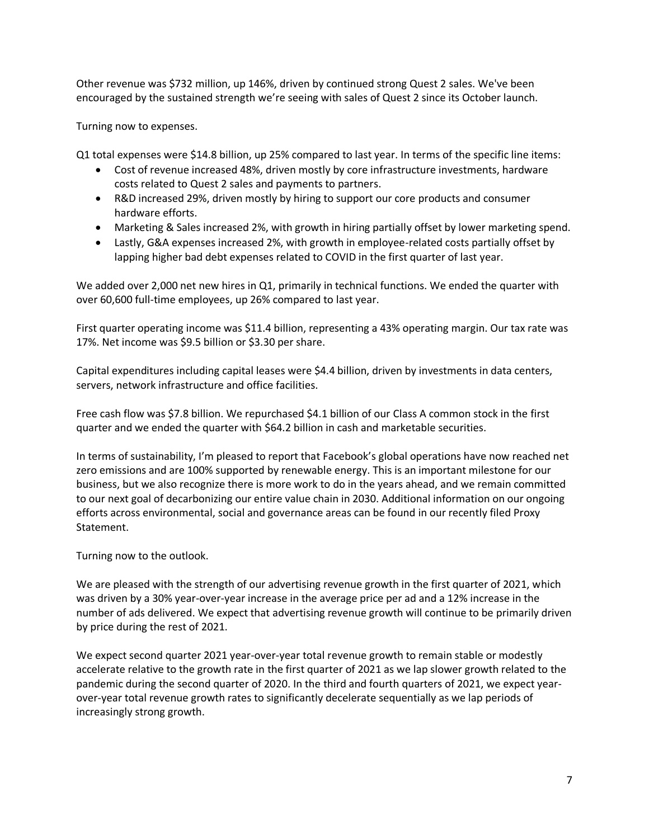Other revenue was \$732 million, up 146%, driven by continued strong Quest 2 sales. We've been encouraged by the sustained strength we're seeing with sales of Quest 2 since its October launch.

Turning now to expenses.

Q1 total expenses were \$14.8 billion, up 25% compared to last year. In terms of the specific line items:

- Cost of revenue increased 48%, driven mostly by core infrastructure investments, hardware costs related to Quest 2 sales and payments to partners.
- R&D increased 29%, driven mostly by hiring to support our core products and consumer hardware efforts.
- Marketing & Sales increased 2%, with growth in hiring partially offset by lower marketing spend.
- Lastly, G&A expenses increased 2%, with growth in employee-related costs partially offset by lapping higher bad debt expenses related to COVID in the first quarter of last year.

We added over 2,000 net new hires in Q1, primarily in technical functions. We ended the quarter with over 60,600 full-time employees, up 26% compared to last year.

First quarter operating income was \$11.4 billion, representing a 43% operating margin. Our tax rate was 17%. Net income was \$9.5 billion or \$3.30 per share.

Capital expenditures including capital leases were \$4.4 billion, driven by investments in data centers, servers, network infrastructure and office facilities.

Free cash flow was \$7.8 billion. We repurchased \$4.1 billion of our Class A common stock in the first quarter and we ended the quarter with \$64.2 billion in cash and marketable securities.

In terms of sustainability, I'm pleased to report that Facebook's global operations have now reached net zero emissions and are 100% supported by renewable energy. This is an important milestone for our business, but we also recognize there is more work to do in the years ahead, and we remain committed to our next goal of decarbonizing our entire value chain in 2030. Additional information on our ongoing efforts across environmental, social and governance areas can be found in our recently filed Proxy Statement.

Turning now to the outlook.

We are pleased with the strength of our advertising revenue growth in the first quarter of 2021, which was driven by a 30% year-over-year increase in the average price per ad and a 12% increase in the number of ads delivered. We expect that advertising revenue growth will continue to be primarily driven by price during the rest of 2021.

We expect second quarter 2021 year-over-year total revenue growth to remain stable or modestly accelerate relative to the growth rate in the first quarter of 2021 as we lap slower growth related to the pandemic during the second quarter of 2020. In the third and fourth quarters of 2021, we expect yearover-year total revenue growth rates to significantly decelerate sequentially as we lap periods of increasingly strong growth.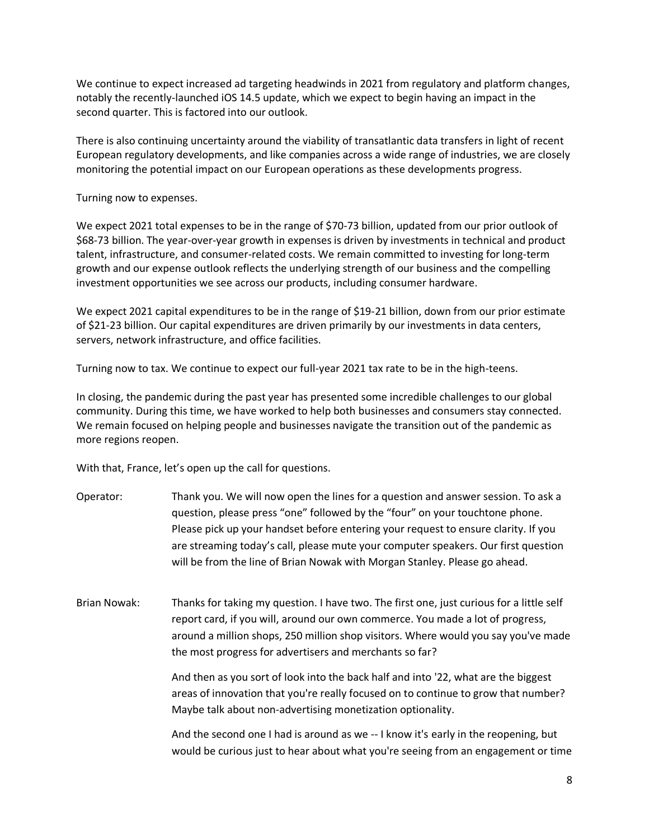We continue to expect increased ad targeting headwinds in 2021 from regulatory and platform changes, notably the recently-launched iOS 14.5 update, which we expect to begin having an impact in the second quarter. This is factored into our outlook.

There is also continuing uncertainty around the viability of transatlantic data transfers in light of recent European regulatory developments, and like companies across a wide range of industries, we are closely monitoring the potential impact on our European operations as these developments progress.

Turning now to expenses.

We expect 2021 total expenses to be in the range of \$70-73 billion, updated from our prior outlook of \$68-73 billion. The year-over-year growth in expenses is driven by investments in technical and product talent, infrastructure, and consumer-related costs. We remain committed to investing for long-term growth and our expense outlook reflects the underlying strength of our business and the compelling investment opportunities we see across our products, including consumer hardware.

We expect 2021 capital expenditures to be in the range of \$19-21 billion, down from our prior estimate of \$21-23 billion. Our capital expenditures are driven primarily by our investments in data centers, servers, network infrastructure, and office facilities.

Turning now to tax. We continue to expect our full-year 2021 tax rate to be in the high-teens.

In closing, the pandemic during the past year has presented some incredible challenges to our global community. During this time, we have worked to help both businesses and consumers stay connected. We remain focused on helping people and businesses navigate the transition out of the pandemic as more regions reopen.

With that, France, let's open up the call for questions.

- Operator: Thank you. We will now open the lines for a question and answer session. To ask a question, please press "one" followed by the "four" on your touchtone phone. Please pick up your handset before entering your request to ensure clarity. If you are streaming today's call, please mute your computer speakers. Our first question will be from the line of Brian Nowak with Morgan Stanley. Please go ahead.
- Brian Nowak: Thanks for taking my question. I have two. The first one, just curious for a little self report card, if you will, around our own commerce. You made a lot of progress, around a million shops, 250 million shop visitors. Where would you say you've made the most progress for advertisers and merchants so far?

And then as you sort of look into the back half and into '22, what are the biggest areas of innovation that you're really focused on to continue to grow that number? Maybe talk about non-advertising monetization optionality.

And the second one I had is around as we -- I know it's early in the reopening, but would be curious just to hear about what you're seeing from an engagement or time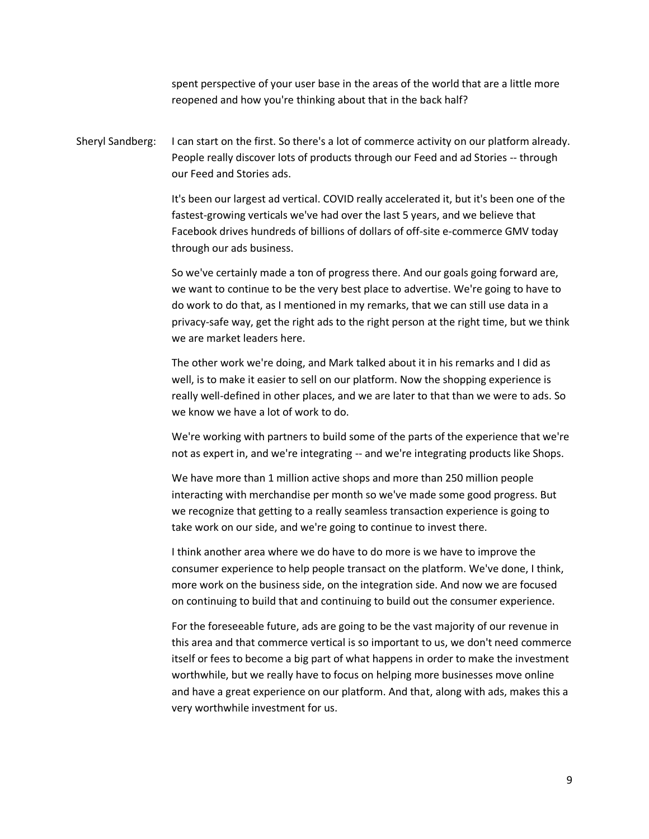spent perspective of your user base in the areas of the world that are a little more reopened and how you're thinking about that in the back half?

Sheryl Sandberg: I can start on the first. So there's a lot of commerce activity on our platform already. People really discover lots of products through our Feed and ad Stories -- through our Feed and Stories ads.

> It's been our largest ad vertical. COVID really accelerated it, but it's been one of the fastest-growing verticals we've had over the last 5 years, and we believe that Facebook drives hundreds of billions of dollars of off-site e-commerce GMV today through our ads business.

So we've certainly made a ton of progress there. And our goals going forward are, we want to continue to be the very best place to advertise. We're going to have to do work to do that, as I mentioned in my remarks, that we can still use data in a privacy-safe way, get the right ads to the right person at the right time, but we think we are market leaders here.

The other work we're doing, and Mark talked about it in his remarks and I did as well, is to make it easier to sell on our platform. Now the shopping experience is really well-defined in other places, and we are later to that than we were to ads. So we know we have a lot of work to do.

We're working with partners to build some of the parts of the experience that we're not as expert in, and we're integrating -- and we're integrating products like Shops.

We have more than 1 million active shops and more than 250 million people interacting with merchandise per month so we've made some good progress. But we recognize that getting to a really seamless transaction experience is going to take work on our side, and we're going to continue to invest there.

I think another area where we do have to do more is we have to improve the consumer experience to help people transact on the platform. We've done, I think, more work on the business side, on the integration side. And now we are focused on continuing to build that and continuing to build out the consumer experience.

For the foreseeable future, ads are going to be the vast majority of our revenue in this area and that commerce vertical is so important to us, we don't need commerce itself or fees to become a big part of what happens in order to make the investment worthwhile, but we really have to focus on helping more businesses move online and have a great experience on our platform. And that, along with ads, makes this a very worthwhile investment for us.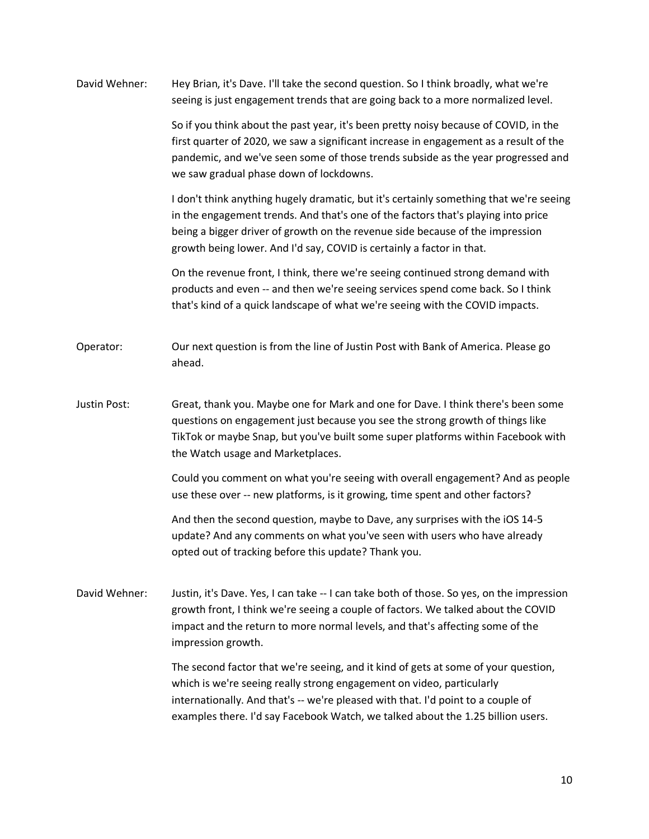David Wehner: Hey Brian, it's Dave. I'll take the second question. So I think broadly, what we're seeing is just engagement trends that are going back to a more normalized level. So if you think about the past year, it's been pretty noisy because of COVID, in the first quarter of 2020, we saw a significant increase in engagement as a result of the pandemic, and we've seen some of those trends subside as the year progressed and we saw gradual phase down of lockdowns. I don't think anything hugely dramatic, but it's certainly something that we're seeing in the engagement trends. And that's one of the factors that's playing into price being a bigger driver of growth on the revenue side because of the impression growth being lower. And I'd say, COVID is certainly a factor in that. On the revenue front, I think, there we're seeing continued strong demand with products and even -- and then we're seeing services spend come back. So I think that's kind of a quick landscape of what we're seeing with the COVID impacts. Operator: Our next question is from the line of Justin Post with Bank of America. Please go ahead. Justin Post: Great, thank you. Maybe one for Mark and one for Dave. I think there's been some questions on engagement just because you see the strong growth of things like TikTok or maybe Snap, but you've built some super platforms within Facebook with the Watch usage and Marketplaces. Could you comment on what you're seeing with overall engagement? And as people use these over -- new platforms, is it growing, time spent and other factors? And then the second question, maybe to Dave, any surprises with the iOS 14-5 update? And any comments on what you've seen with users who have already opted out of tracking before this update? Thank you. David Wehner: Justin, it's Dave. Yes, I can take -- I can take both of those. So yes, on the impression growth front, I think we're seeing a couple of factors. We talked about the COVID impact and the return to more normal levels, and that's affecting some of the impression growth. The second factor that we're seeing, and it kind of gets at some of your question, which is we're seeing really strong engagement on video, particularly internationally. And that's -- we're pleased with that. I'd point to a couple of examples there. I'd say Facebook Watch, we talked about the 1.25 billion users.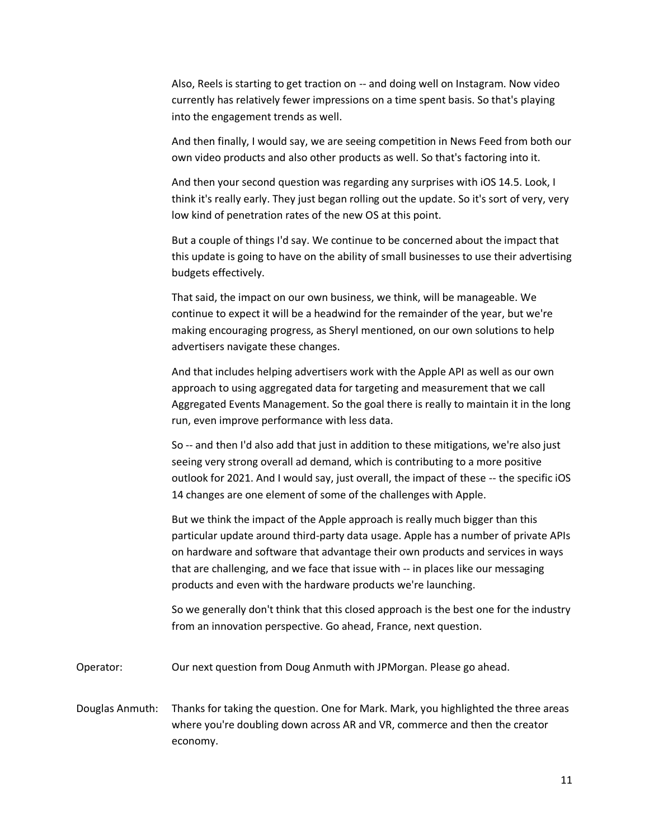Also, Reels is starting to get traction on -- and doing well on Instagram. Now video currently has relatively fewer impressions on a time spent basis. So that's playing into the engagement trends as well.

And then finally, I would say, we are seeing competition in News Feed from both our own video products and also other products as well. So that's factoring into it.

And then your second question was regarding any surprises with iOS 14.5. Look, I think it's really early. They just began rolling out the update. So it's sort of very, very low kind of penetration rates of the new OS at this point.

But a couple of things I'd say. We continue to be concerned about the impact that this update is going to have on the ability of small businesses to use their advertising budgets effectively.

That said, the impact on our own business, we think, will be manageable. We continue to expect it will be a headwind for the remainder of the year, but we're making encouraging progress, as Sheryl mentioned, on our own solutions to help advertisers navigate these changes.

And that includes helping advertisers work with the Apple API as well as our own approach to using aggregated data for targeting and measurement that we call Aggregated Events Management. So the goal there is really to maintain it in the long run, even improve performance with less data.

So -- and then I'd also add that just in addition to these mitigations, we're also just seeing very strong overall ad demand, which is contributing to a more positive outlook for 2021. And I would say, just overall, the impact of these -- the specific iOS 14 changes are one element of some of the challenges with Apple.

But we think the impact of the Apple approach is really much bigger than this particular update around third-party data usage. Apple has a number of private APIs on hardware and software that advantage their own products and services in ways that are challenging, and we face that issue with -- in places like our messaging products and even with the hardware products we're launching.

So we generally don't think that this closed approach is the best one for the industry from an innovation perspective. Go ahead, France, next question.

Operator: Our next question from Doug Anmuth with JPMorgan. Please go ahead.

Douglas Anmuth: Thanks for taking the question. One for Mark. Mark, you highlighted the three areas where you're doubling down across AR and VR, commerce and then the creator economy.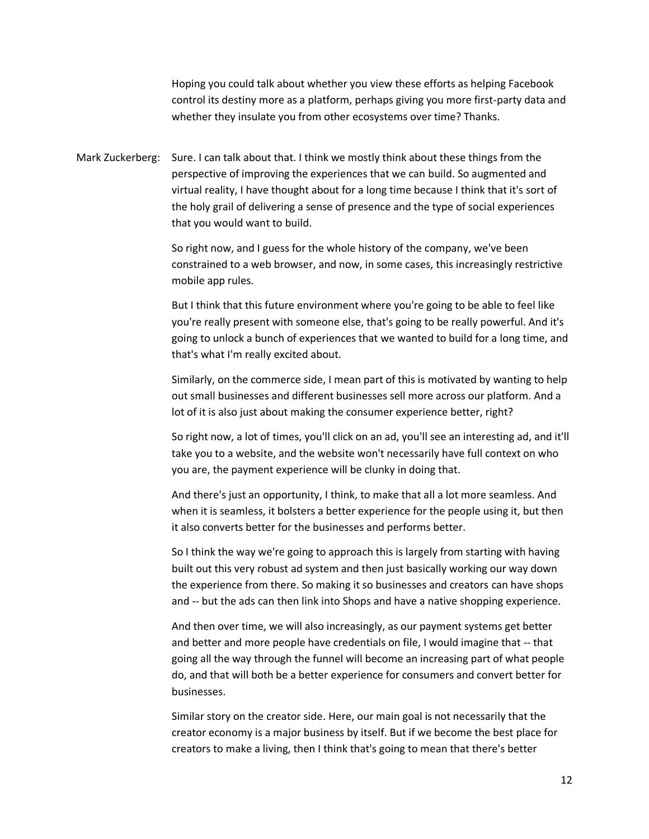Hoping you could talk about whether you view these efforts as helping Facebook control its destiny more as a platform, perhaps giving you more first-party data and whether they insulate you from other ecosystems over time? Thanks.

Mark Zuckerberg: Sure. I can talk about that. I think we mostly think about these things from the perspective of improving the experiences that we can build. So augmented and virtual reality, I have thought about for a long time because I think that it's sort of the holy grail of delivering a sense of presence and the type of social experiences that you would want to build.

> So right now, and I guess for the whole history of the company, we've been constrained to a web browser, and now, in some cases, this increasingly restrictive mobile app rules.

But I think that this future environment where you're going to be able to feel like you're really present with someone else, that's going to be really powerful. And it's going to unlock a bunch of experiences that we wanted to build for a long time, and that's what I'm really excited about.

Similarly, on the commerce side, I mean part of this is motivated by wanting to help out small businesses and different businesses sell more across our platform. And a lot of it is also just about making the consumer experience better, right?

So right now, a lot of times, you'll click on an ad, you'll see an interesting ad, and it'll take you to a website, and the website won't necessarily have full context on who you are, the payment experience will be clunky in doing that.

And there's just an opportunity, I think, to make that all a lot more seamless. And when it is seamless, it bolsters a better experience for the people using it, but then it also converts better for the businesses and performs better.

So I think the way we're going to approach this is largely from starting with having built out this very robust ad system and then just basically working our way down the experience from there. So making it so businesses and creators can have shops and -- but the ads can then link into Shops and have a native shopping experience.

And then over time, we will also increasingly, as our payment systems get better and better and more people have credentials on file, I would imagine that -- that going all the way through the funnel will become an increasing part of what people do, and that will both be a better experience for consumers and convert better for businesses.

Similar story on the creator side. Here, our main goal is not necessarily that the creator economy is a major business by itself. But if we become the best place for creators to make a living, then I think that's going to mean that there's better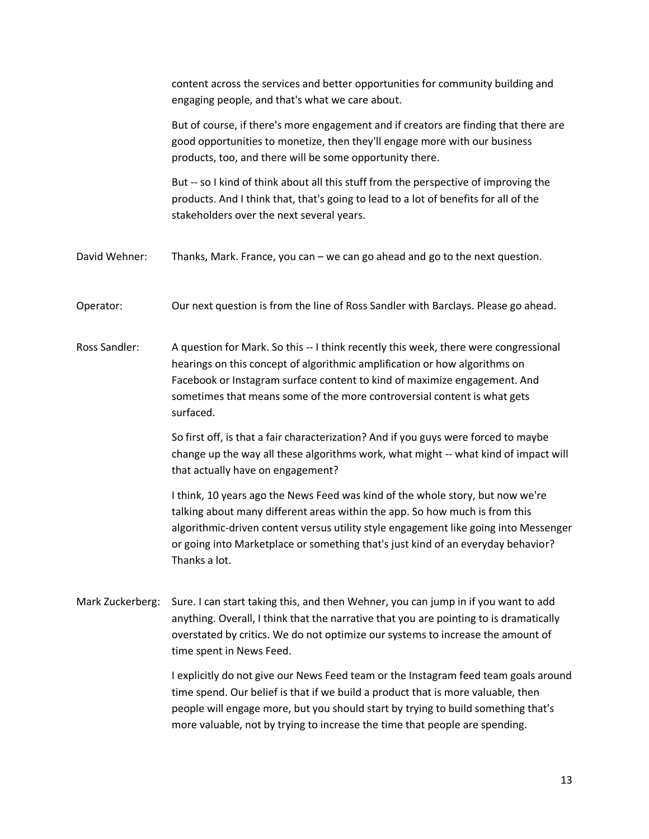content across the services and better opportunities for community building and engaging people, and that's what we care about.

But of course, if there's more engagement and if creators are finding that there are good opportunities to monetize, then they'll engage more with our business products, too, and there will be some opportunity there.

But -- so I kind of think about all this stuff from the perspective of improving the products. And I think that, that's going to lead to a lot of benefits for all of the stakeholders over the next several years.

- David Wehner: Thanks, Mark. France, you can we can go ahead and go to the next question.
- Operator: Our next question is from the line of Ross Sandler with Barclays. Please go ahead.
- Ross Sandler: A question for Mark. So this -- I think recently this week, there were congressional hearings on this concept of algorithmic amplification or how algorithms on Facebook or Instagram surface content to kind of maximize engagement. And sometimes that means some of the more controversial content is what gets surfaced.

So first off, is that a fair characterization? And if you guys were forced to maybe change up the way all these algorithms work, what might -- what kind of impact will that actually have on engagement?

I think, 10 years ago the News Feed was kind of the whole story, but now we're talking about many different areas within the app. So how much is from this algorithmic-driven content versus utility style engagement like going into Messenger or going into Marketplace or something that's just kind of an everyday behavior? Thanks a lot.

Mark Zuckerberg: Sure. I can start taking this, and then Wehner, you can jump in if you want to add anything. Overall, I think that the narrative that you are pointing to is dramatically overstated by critics. We do not optimize our systems to increase the amount of time spent in News Feed.

> I explicitly do not give our News Feed team or the Instagram feed team goals around time spend. Our belief is that if we build a product that is more valuable, then people will engage more, but you should start by trying to build something that's more valuable, not by trying to increase the time that people are spending.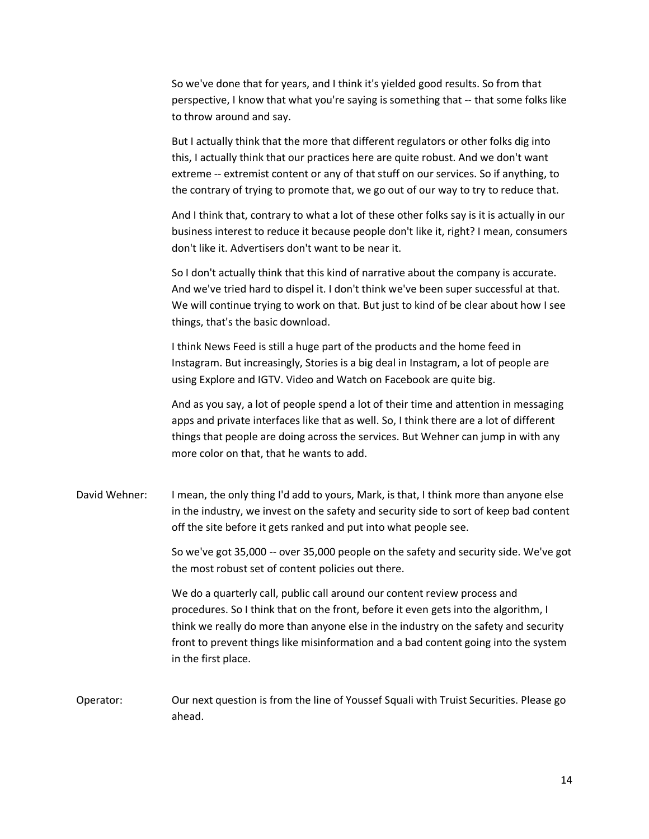So we've done that for years, and I think it's yielded good results. So from that perspective, I know that what you're saying is something that -- that some folks like to throw around and say.

But I actually think that the more that different regulators or other folks dig into this, I actually think that our practices here are quite robust. And we don't want extreme -- extremist content or any of that stuff on our services. So if anything, to the contrary of trying to promote that, we go out of our way to try to reduce that.

And I think that, contrary to what a lot of these other folks say is it is actually in our business interest to reduce it because people don't like it, right? I mean, consumers don't like it. Advertisers don't want to be near it.

So I don't actually think that this kind of narrative about the company is accurate. And we've tried hard to dispel it. I don't think we've been super successful at that. We will continue trying to work on that. But just to kind of be clear about how I see things, that's the basic download.

I think News Feed is still a huge part of the products and the home feed in Instagram. But increasingly, Stories is a big deal in Instagram, a lot of people are using Explore and IGTV. Video and Watch on Facebook are quite big.

And as you say, a lot of people spend a lot of their time and attention in messaging apps and private interfaces like that as well. So, I think there are a lot of different things that people are doing across the services. But Wehner can jump in with any more color on that, that he wants to add.

David Wehner: I mean, the only thing I'd add to yours, Mark, is that, I think more than anyone else in the industry, we invest on the safety and security side to sort of keep bad content off the site before it gets ranked and put into what people see.

> So we've got 35,000 -- over 35,000 people on the safety and security side. We've got the most robust set of content policies out there.

We do a quarterly call, public call around our content review process and procedures. So I think that on the front, before it even gets into the algorithm, I think we really do more than anyone else in the industry on the safety and security front to prevent things like misinformation and a bad content going into the system in the first place.

Operator: Our next question is from the line of Youssef Squali with Truist Securities. Please go ahead.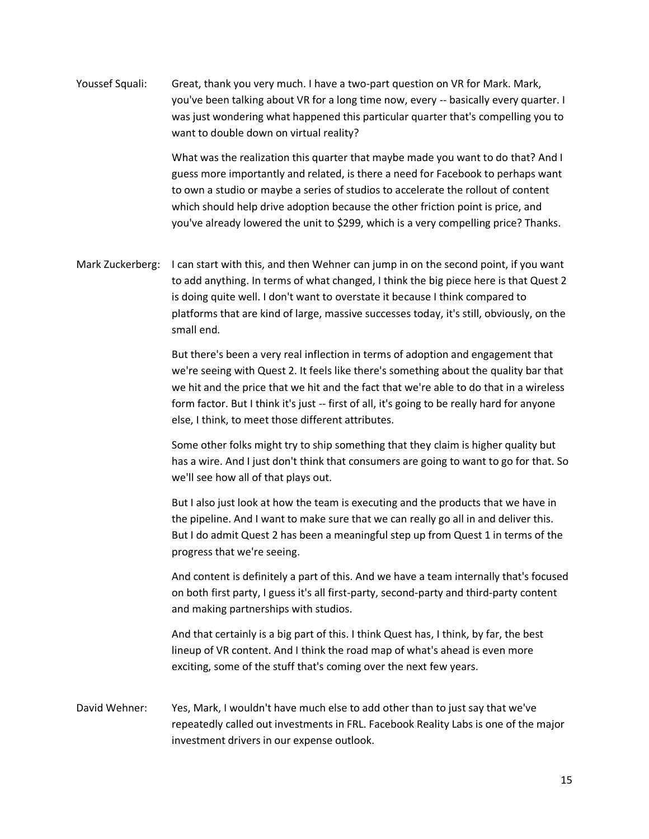| Youssef Squali:  | Great, thank you very much. I have a two-part question on VR for Mark. Mark,<br>you've been talking about VR for a long time now, every -- basically every quarter. I<br>was just wondering what happened this particular quarter that's compelling you to<br>want to double down on virtual reality?                                                                                                                               |
|------------------|-------------------------------------------------------------------------------------------------------------------------------------------------------------------------------------------------------------------------------------------------------------------------------------------------------------------------------------------------------------------------------------------------------------------------------------|
|                  | What was the realization this quarter that maybe made you want to do that? And I<br>guess more importantly and related, is there a need for Facebook to perhaps want<br>to own a studio or maybe a series of studios to accelerate the rollout of content<br>which should help drive adoption because the other friction point is price, and<br>you've already lowered the unit to \$299, which is a very compelling price? Thanks. |
| Mark Zuckerberg: | I can start with this, and then Wehner can jump in on the second point, if you want<br>to add anything. In terms of what changed, I think the big piece here is that Quest 2<br>is doing quite well. I don't want to overstate it because I think compared to<br>platforms that are kind of large, massive successes today, it's still, obviously, on the<br>small end.                                                             |
|                  | But there's been a very real inflection in terms of adoption and engagement that<br>we're seeing with Quest 2. It feels like there's something about the quality bar that<br>we hit and the price that we hit and the fact that we're able to do that in a wireless<br>form factor. But I think it's just -- first of all, it's going to be really hard for anyone<br>else, I think, to meet those different attributes.            |
|                  | Some other folks might try to ship something that they claim is higher quality but<br>has a wire. And I just don't think that consumers are going to want to go for that. So<br>we'll see how all of that plays out.                                                                                                                                                                                                                |
|                  | But I also just look at how the team is executing and the products that we have in<br>the pipeline. And I want to make sure that we can really go all in and deliver this.<br>But I do admit Quest 2 has been a meaningful step up from Quest 1 in terms of the<br>progress that we're seeing.                                                                                                                                      |
|                  | And content is definitely a part of this. And we have a team internally that's focused<br>on both first party, I guess it's all first-party, second-party and third-party content<br>and making partnerships with studios.                                                                                                                                                                                                          |
|                  | And that certainly is a big part of this. I think Quest has, I think, by far, the best<br>lineup of VR content. And I think the road map of what's ahead is even more<br>exciting, some of the stuff that's coming over the next few years.                                                                                                                                                                                         |
| David Wehner:    | Yes, Mark, I wouldn't have much else to add other than to just say that we've<br>repeatedly called out investments in FRL. Facebook Reality Labs is one of the major<br>investment drivers in our expense outlook.                                                                                                                                                                                                                  |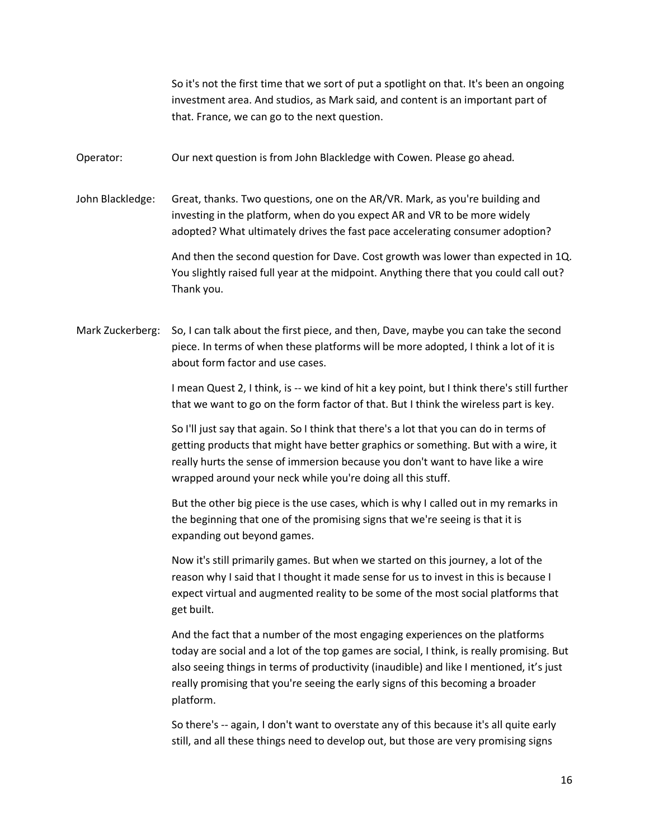So it's not the first time that we sort of put a spotlight on that. It's been an ongoing investment area. And studios, as Mark said, and content is an important part of that. France, we can go to the next question.

Operator: Our next question is from John Blackledge with Cowen. Please go ahead.

John Blackledge: Great, thanks. Two questions, one on the AR/VR. Mark, as you're building and investing in the platform, when do you expect AR and VR to be more widely adopted? What ultimately drives the fast pace accelerating consumer adoption?

> And then the second question for Dave. Cost growth was lower than expected in 1Q. You slightly raised full year at the midpoint. Anything there that you could call out? Thank you.

Mark Zuckerberg: So, I can talk about the first piece, and then, Dave, maybe you can take the second piece. In terms of when these platforms will be more adopted, I think a lot of it is about form factor and use cases.

> I mean Quest 2, I think, is -- we kind of hit a key point, but I think there's still further that we want to go on the form factor of that. But I think the wireless part is key.

So I'll just say that again. So I think that there's a lot that you can do in terms of getting products that might have better graphics or something. But with a wire, it really hurts the sense of immersion because you don't want to have like a wire wrapped around your neck while you're doing all this stuff.

But the other big piece is the use cases, which is why I called out in my remarks in the beginning that one of the promising signs that we're seeing is that it is expanding out beyond games.

Now it's still primarily games. But when we started on this journey, a lot of the reason why I said that I thought it made sense for us to invest in this is because I expect virtual and augmented reality to be some of the most social platforms that get built.

And the fact that a number of the most engaging experiences on the platforms today are social and a lot of the top games are social, I think, is really promising. But also seeing things in terms of productivity (inaudible) and like I mentioned, it's just really promising that you're seeing the early signs of this becoming a broader platform.

So there's -- again, I don't want to overstate any of this because it's all quite early still, and all these things need to develop out, but those are very promising signs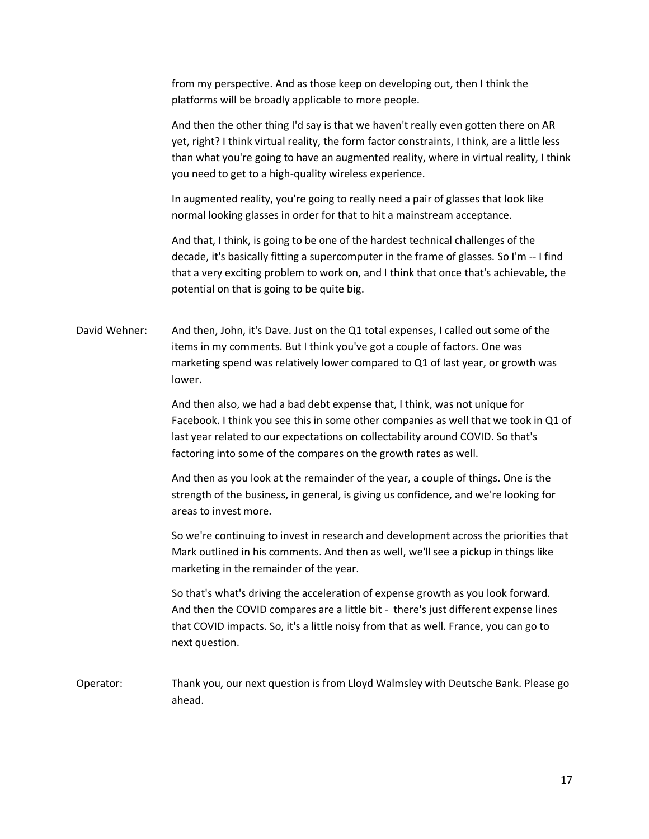from my perspective. And as those keep on developing out, then I think the platforms will be broadly applicable to more people.

And then the other thing I'd say is that we haven't really even gotten there on AR yet, right? I think virtual reality, the form factor constraints, I think, are a little less than what you're going to have an augmented reality, where in virtual reality, I think you need to get to a high-quality wireless experience.

In augmented reality, you're going to really need a pair of glasses that look like normal looking glasses in order for that to hit a mainstream acceptance.

And that, I think, is going to be one of the hardest technical challenges of the decade, it's basically fitting a supercomputer in the frame of glasses. So I'm -- I find that a very exciting problem to work on, and I think that once that's achievable, the potential on that is going to be quite big.

David Wehner: And then, John, it's Dave. Just on the Q1 total expenses, I called out some of the items in my comments. But I think you've got a couple of factors. One was marketing spend was relatively lower compared to Q1 of last year, or growth was lower.

> And then also, we had a bad debt expense that, I think, was not unique for Facebook. I think you see this in some other companies as well that we took in Q1 of last year related to our expectations on collectability around COVID. So that's factoring into some of the compares on the growth rates as well.

And then as you look at the remainder of the year, a couple of things. One is the strength of the business, in general, is giving us confidence, and we're looking for areas to invest more.

So we're continuing to invest in research and development across the priorities that Mark outlined in his comments. And then as well, we'll see a pickup in things like marketing in the remainder of the year.

So that's what's driving the acceleration of expense growth as you look forward. And then the COVID compares are a little bit - there's just different expense lines that COVID impacts. So, it's a little noisy from that as well. France, you can go to next question.

Operator: Thank you, our next question is from Lloyd Walmsley with Deutsche Bank. Please go ahead.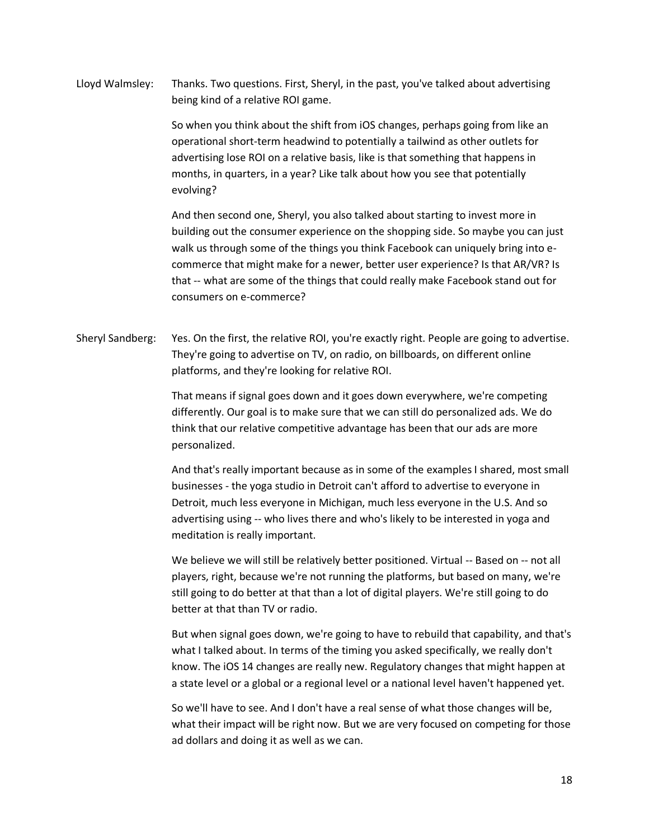Lloyd Walmsley: Thanks. Two questions. First, Sheryl, in the past, you've talked about advertising being kind of a relative ROI game.

> So when you think about the shift from iOS changes, perhaps going from like an operational short-term headwind to potentially a tailwind as other outlets for advertising lose ROI on a relative basis, like is that something that happens in months, in quarters, in a year? Like talk about how you see that potentially evolving?

And then second one, Sheryl, you also talked about starting to invest more in building out the consumer experience on the shopping side. So maybe you can just walk us through some of the things you think Facebook can uniquely bring into ecommerce that might make for a newer, better user experience? Is that AR/VR? Is that -- what are some of the things that could really make Facebook stand out for consumers on e-commerce?

Sheryl Sandberg: Yes. On the first, the relative ROI, you're exactly right. People are going to advertise. They're going to advertise on TV, on radio, on billboards, on different online platforms, and they're looking for relative ROI.

> That means if signal goes down and it goes down everywhere, we're competing differently. Our goal is to make sure that we can still do personalized ads. We do think that our relative competitive advantage has been that our ads are more personalized.

And that's really important because as in some of the examples I shared, most small businesses - the yoga studio in Detroit can't afford to advertise to everyone in Detroit, much less everyone in Michigan, much less everyone in the U.S. And so advertising using -- who lives there and who's likely to be interested in yoga and meditation is really important.

We believe we will still be relatively better positioned. Virtual -- Based on -- not all players, right, because we're not running the platforms, but based on many, we're still going to do better at that than a lot of digital players. We're still going to do better at that than TV or radio.

But when signal goes down, we're going to have to rebuild that capability, and that's what I talked about. In terms of the timing you asked specifically, we really don't know. The iOS 14 changes are really new. Regulatory changes that might happen at a state level or a global or a regional level or a national level haven't happened yet.

So we'll have to see. And I don't have a real sense of what those changes will be, what their impact will be right now. But we are very focused on competing for those ad dollars and doing it as well as we can.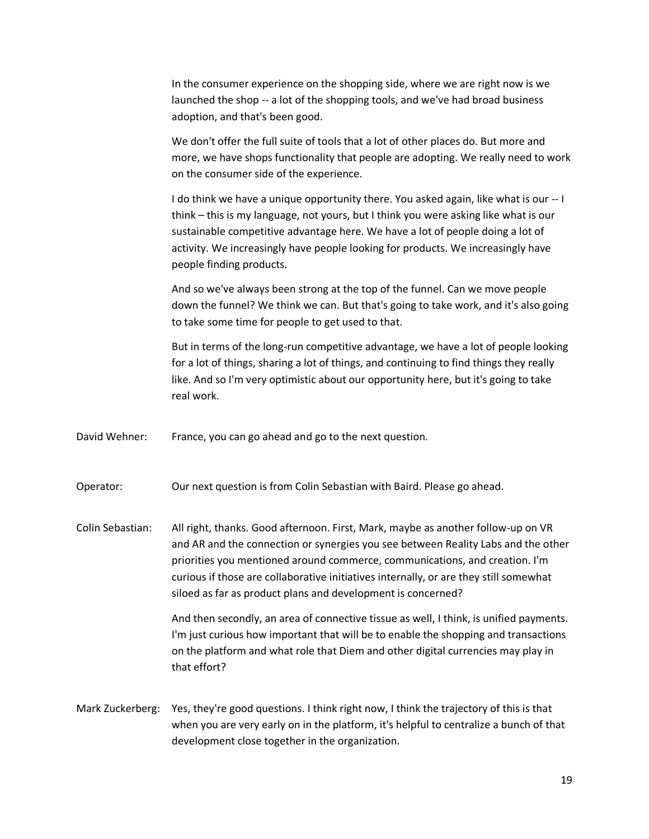In the consumer experience on the shopping side, where we are right now is we launched the shop -- a lot of the shopping tools, and we've had broad business adoption, and that's been good.

We don't offer the full suite of tools that a lot of other places do. But more and more, we have shops functionality that people are adopting. We really need to work on the consumer side of the experience.

I do think we have a unique opportunity there. You asked again, like what is our -- I think – this is my language, not yours, but I think you were asking like what is our sustainable competitive advantage here. We have a lot of people doing a lot of activity. We increasingly have people looking for products. We increasingly have people finding products.

And so we've always been strong at the top of the funnel. Can we move people down the funnel? We think we can. But that's going to take work, and it's also going to take some time for people to get used to that.

But in terms of the long-run competitive advantage, we have a lot of people looking for a lot of things, sharing a lot of things, and continuing to find things they really like. And so I'm very optimistic about our opportunity here, but it's going to take real work.

David Wehner: France, you can go ahead and go to the next question.

Operator: Our next question is from Colin Sebastian with Baird. Please go ahead.

Colin Sebastian: All right, thanks. Good afternoon. First, Mark, maybe as another follow-up on VR and AR and the connection or synergies you see between Reality Labs and the other priorities you mentioned around commerce, communications, and creation. I'm curious if those are collaborative initiatives internally, or are they still somewhat siloed as far as product plans and development is concerned?

> And then secondly, an area of connective tissue as well, I think, is unified payments. I'm just curious how important that will be to enable the shopping and transactions on the platform and what role that Diem and other digital currencies may play in that effort?

Mark Zuckerberg: Yes, they're good questions. I think right now, I think the trajectory of this is that when you are very early on in the platform, it's helpful to centralize a bunch of that development close together in the organization.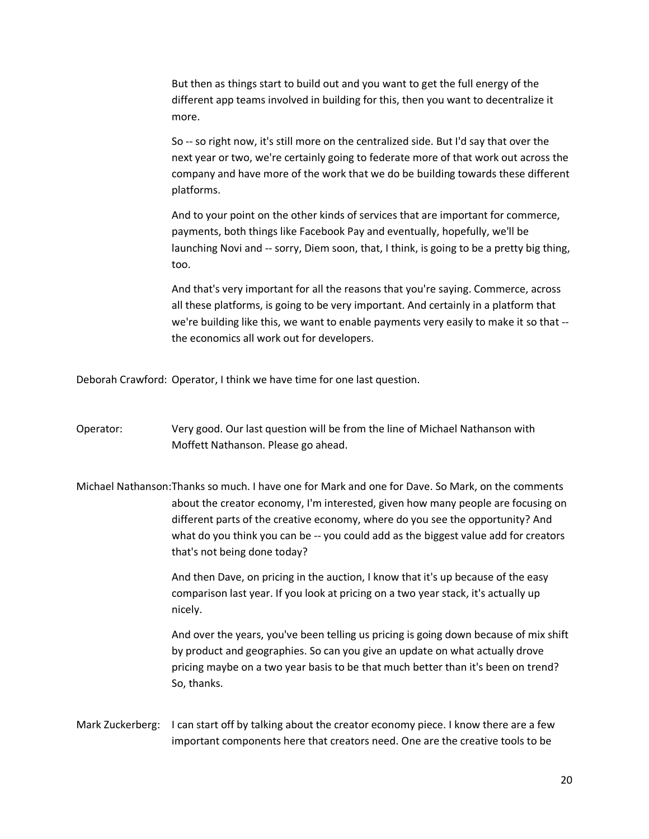But then as things start to build out and you want to get the full energy of the different app teams involved in building for this, then you want to decentralize it more.

So -- so right now, it's still more on the centralized side. But I'd say that over the next year or two, we're certainly going to federate more of that work out across the company and have more of the work that we do be building towards these different platforms.

And to your point on the other kinds of services that are important for commerce, payments, both things like Facebook Pay and eventually, hopefully, we'll be launching Novi and -- sorry, Diem soon, that, I think, is going to be a pretty big thing, too.

And that's very important for all the reasons that you're saying. Commerce, across all these platforms, is going to be very important. And certainly in a platform that we're building like this, we want to enable payments very easily to make it so that - the economics all work out for developers.

Deborah Crawford: Operator, I think we have time for one last question.

Operator: Very good. Our last question will be from the line of Michael Nathanson with Moffett Nathanson. Please go ahead.

Michael Nathanson:Thanks so much. I have one for Mark and one for Dave. So Mark, on the comments about the creator economy, I'm interested, given how many people are focusing on different parts of the creative economy, where do you see the opportunity? And what do you think you can be -- you could add as the biggest value add for creators that's not being done today?

> And then Dave, on pricing in the auction, I know that it's up because of the easy comparison last year. If you look at pricing on a two year stack, it's actually up nicely.

And over the years, you've been telling us pricing is going down because of mix shift by product and geographies. So can you give an update on what actually drove pricing maybe on a two year basis to be that much better than it's been on trend? So, thanks.

Mark Zuckerberg: I can start off by talking about the creator economy piece. I know there are a few important components here that creators need. One are the creative tools to be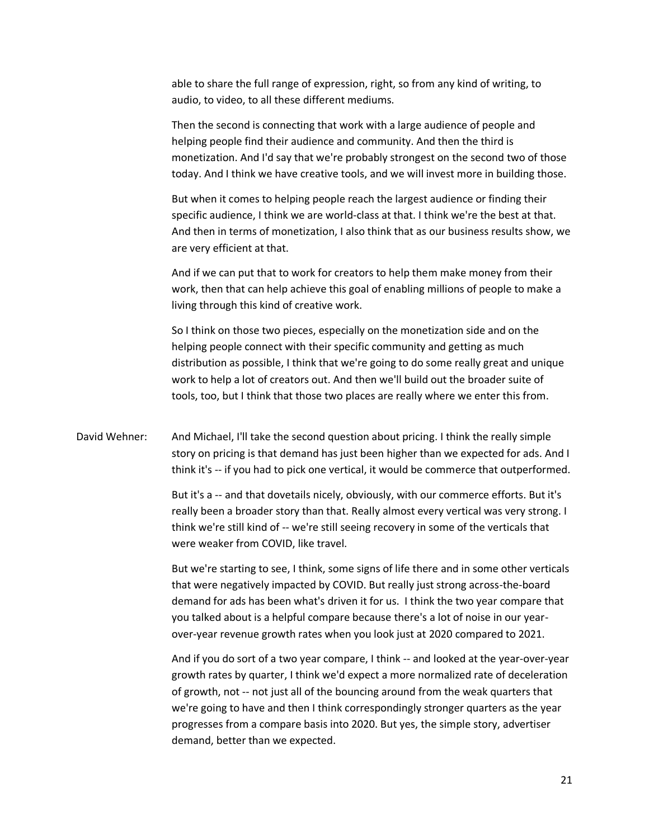able to share the full range of expression, right, so from any kind of writing, to audio, to video, to all these different mediums.

Then the second is connecting that work with a large audience of people and helping people find their audience and community. And then the third is monetization. And I'd say that we're probably strongest on the second two of those today. And I think we have creative tools, and we will invest more in building those.

But when it comes to helping people reach the largest audience or finding their specific audience, I think we are world-class at that. I think we're the best at that. And then in terms of monetization, I also think that as our business results show, we are very efficient at that.

And if we can put that to work for creators to help them make money from their work, then that can help achieve this goal of enabling millions of people to make a living through this kind of creative work.

So I think on those two pieces, especially on the monetization side and on the helping people connect with their specific community and getting as much distribution as possible, I think that we're going to do some really great and unique work to help a lot of creators out. And then we'll build out the broader suite of tools, too, but I think that those two places are really where we enter this from.

David Wehner: And Michael, I'll take the second question about pricing. I think the really simple story on pricing is that demand has just been higher than we expected for ads. And I think it's -- if you had to pick one vertical, it would be commerce that outperformed.

> But it's a -- and that dovetails nicely, obviously, with our commerce efforts. But it's really been a broader story than that. Really almost every vertical was very strong. I think we're still kind of -- we're still seeing recovery in some of the verticals that were weaker from COVID, like travel.

> But we're starting to see, I think, some signs of life there and in some other verticals that were negatively impacted by COVID. But really just strong across-the-board demand for ads has been what's driven it for us. I think the two year compare that you talked about is a helpful compare because there's a lot of noise in our yearover-year revenue growth rates when you look just at 2020 compared to 2021.

> And if you do sort of a two year compare, I think -- and looked at the year-over-year growth rates by quarter, I think we'd expect a more normalized rate of deceleration of growth, not -- not just all of the bouncing around from the weak quarters that we're going to have and then I think correspondingly stronger quarters as the year progresses from a compare basis into 2020. But yes, the simple story, advertiser demand, better than we expected.